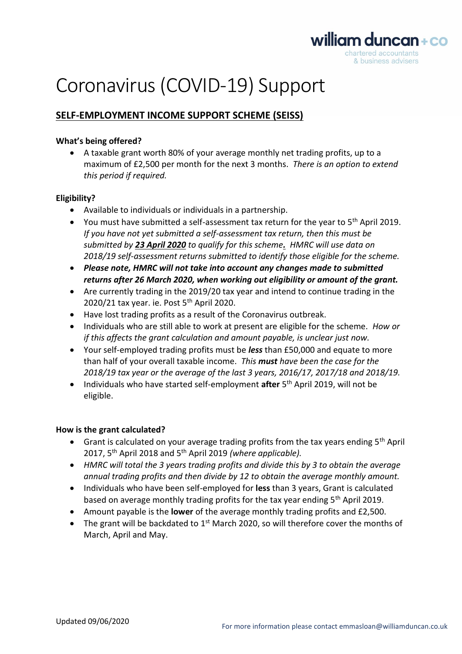

# Coronavirus (COVID-19) Support

### **SELF-EMPLOYMENT INCOME SUPPORT SCHEME (SEISS)**

#### **What's being offered?**

• A taxable grant worth 80% of your average monthly net trading profits, up to a maximum of £2,500 per month for the next 3 months. *There is an option to extend this period if required.*

#### **Eligibility?**

- Available to individuals or individuals in a partnership.
- You must have submitted a self-assessment tax return for the year to 5<sup>th</sup> April 2019. *If you have not yet submitted a self-assessment tax return, then this must be submitted by 23 April 2020 to qualify for this scheme. HMRC will use data on 2018/19 self-assessment returns submitted to identify those eligible for the scheme.*
- *Please note, HMRC will not take into account any changes made to submitted returns after 26 March 2020, when working out eligibility or amount of the grant.*
- Are currently trading in the 2019/20 tax year and intend to continue trading in the 2020/21 tax year. ie. Post  $5<sup>th</sup>$  April 2020.
- Have lost trading profits as a result of the Coronavirus outbreak.
- Individuals who are still able to work at present are eligible for the scheme. *How or if this affects the grant calculation and amount payable, is unclear just now.*
- Your self-employed trading profits must be *less* than £50,000 and equate to more than half of your overall taxable income. *This must have been the case for the 2018/19 tax year or the average of the last 3 years, 2016/17, 2017/18 and 2018/19.*
- Individuals who have started self-employment **after** 5<sup>th</sup> April 2019, will not be eligible.

#### **How is the grant calculated?**

- Grant is calculated on your average trading profits from the tax years ending  $5<sup>th</sup>$  April 2017, 5th April 2018 and 5th April 2019 *(where applicable).*
- *HMRC will total the 3 years trading profits and divide this by 3 to obtain the average annual trading profits and then divide by 12 to obtain the average monthly amount.*
- Individuals who have been self-employed for **less** than 3 years, Grant is calculated based on average monthly trading profits for the tax year ending 5<sup>th</sup> April 2019.
- Amount payable is the **lower** of the average monthly trading profits and £2,500.
- The grant will be backdated to  $1<sup>st</sup>$  March 2020, so will therefore cover the months of March, April and May.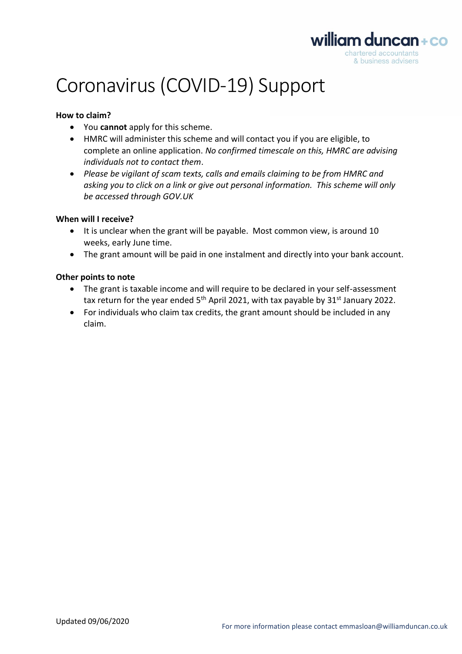

# Coronavirus (COVID-19) Support

#### **How to claim?**

- You **cannot** apply for this scheme.
- HMRC will administer this scheme and will contact you if you are eligible, to complete an online application. *No confirmed timescale on this, HMRC are advising individuals not to contact them*.
- *Please be vigilant of scam texts, calls and emails claiming to be from HMRC and asking you to click on a link or give out personal information. This scheme will only be accessed through GOV.UK*

#### **When will I receive?**

- It is unclear when the grant will be payable. Most common view, is around 10 weeks, early June time.
- The grant amount will be paid in one instalment and directly into your bank account.

#### **Other points to note**

- The grant is taxable income and will require to be declared in your self-assessment tax return for the year ended  $5<sup>th</sup>$  April 2021, with tax payable by 31 $<sup>st</sup>$  January 2022.</sup>
- For individuals who claim tax credits, the grant amount should be included in any claim.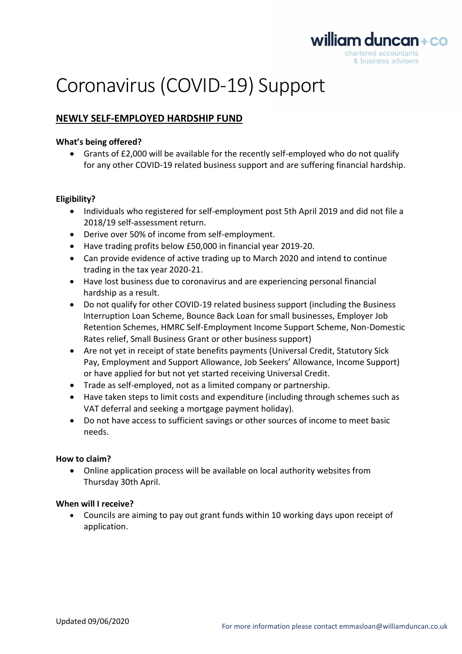

# Coronavirus (COVID-19) Support

### **NEWLY SELF-EMPLOYED HARDSHIP FUND**

#### **What's being offered?**

• Grants of £2,000 will be available for the recently self-employed who do not qualify for any other COVID-19 related business support and are suffering financial hardship.

#### **Eligibility?**

- Individuals who registered for self-employment post 5th April 2019 and did not file a 2018/19 self-assessment return.
- Derive over 50% of income from self-employment.
- Have trading profits below £50,000 in financial year 2019-20.
- Can provide evidence of active trading up to March 2020 and intend to continue trading in the tax year 2020-21.
- Have lost business due to coronavirus and are experiencing personal financial hardship as a result.
- Do not qualify for other COVID-19 related business support (including the Business Interruption Loan Scheme, Bounce Back Loan for small businesses, Employer Job Retention Schemes, HMRC Self-Employment Income Support Scheme, Non-Domestic Rates relief, Small Business Grant or other business support)
- Are not yet in receipt of state benefits payments (Universal Credit, Statutory Sick Pay, Employment and Support Allowance, Job Seekers' Allowance, Income Support) or have applied for but not yet started receiving Universal Credit.
- Trade as self-employed, not as a limited company or partnership.
- Have taken steps to limit costs and expenditure (including through schemes such as VAT deferral and seeking a mortgage payment holiday).
- Do not have access to sufficient savings or other sources of income to meet basic needs.

#### **How to claim?**

• Online application process will be available on local authority websites from Thursday 30th April.

#### **When will I receive?**

• Councils are aiming to pay out grant funds within 10 working days upon receipt of application.